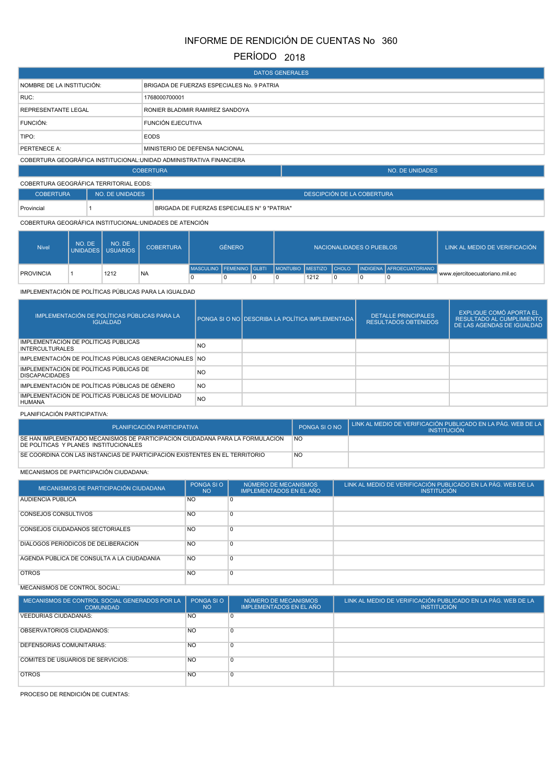# INFORME DE RENDICIÓN DE CUENTAS No 360

## PERÍODO 2018

| <b>DATOS GENERALES</b>                                               |                                            |                        |  |  |  |  |
|----------------------------------------------------------------------|--------------------------------------------|------------------------|--|--|--|--|
| NOMBRE DE LA INSTITUCIÓN:                                            | BRIGADA DE FUERZAS ESPECIALES No. 9 PATRIA |                        |  |  |  |  |
| RUC:                                                                 | 1768000700001                              |                        |  |  |  |  |
| <b>REPRESENTANTE LEGAL</b>                                           | RONIER BLADIMIR RAMIREZ SANDOYA            |                        |  |  |  |  |
| FUNCIÓN:                                                             | <b>FUNCIÓN EJECUTIVA</b>                   |                        |  |  |  |  |
| TIPO:                                                                | <b>EODS</b>                                |                        |  |  |  |  |
| PERTENECE A:                                                         | MINISTERIO DE DEFENSA NACIONAL             |                        |  |  |  |  |
| COBERTURA GEOGRÁFICA INSTITUCIONAL: UNIDAD ADMINISTRATIVA FINANCIERA |                                            |                        |  |  |  |  |
|                                                                      | <b>COBERTURA</b>                           | <b>NO. DE UNIDADES</b> |  |  |  |  |
|                                                                      |                                            |                        |  |  |  |  |

| COBERTURA GEOGRÁFICA TERRITORIAL EODS: |                 |                                             |  |  |  |  |  |
|----------------------------------------|-----------------|---------------------------------------------|--|--|--|--|--|
| <b>COBERTURA</b>                       | NO. DE UNIDADES | DESCIPCIÓN DE LA COBERTURA                  |  |  |  |  |  |
| Provincial                             |                 | BRIGADA DE FUERZAS ESPECIALES N° 9 "PATRIA" |  |  |  |  |  |

### COBERTURA GEOGRÁFICA INSTITUCIONAL:UNIDADES DE ATENCIÓN

| <b>Nivel</b>     | NO. DE | NO. DE<br>UNIDADES USUARIOS | <b>COBERTURA</b> | <b>GÉNERO</b>            |  |  | NACIONALIDADES O PUEBLOS |  | LINK AL MEDIO DE VERIFICACIÓN |                                                    |                                |
|------------------|--------|-----------------------------|------------------|--------------------------|--|--|--------------------------|--|-------------------------------|----------------------------------------------------|--------------------------------|
|                  |        | 1212                        |                  | MASCULINO FEMENINO GLBTI |  |  |                          |  |                               | I MONTUBIO IMESTIZO CHOLO INDIGENA AFROECUATORIANO |                                |
| <b>PROVINCIA</b> |        |                             | <b>NA</b>        |                          |  |  | 1212                     |  |                               |                                                    | www.eiercitoecuatoriano.mil.ec |

#### IMPLEMENTACIÓN DE POLÍTICAS PÚBLICAS PARA LA IGUALDAD

| IMPLEMENTACIÓN DE POLÍTICAS PÚBLICAS PARA LA<br><b>IGUALDAD</b>    |                | PONGA SI O NO DESCRIBA LA POLÍTICA IMPLEMENTADA | <b>DETALLE PRINCIPALES</b><br><b>RESULTADOS OBTENIDOS</b> | EXPLIQUE COMÓ APORTA EL<br><b>RESULTADO AL CUMPLIMIENTO</b><br>DE LAS AGENDAS DE IGUALDAD |
|--------------------------------------------------------------------|----------------|-------------------------------------------------|-----------------------------------------------------------|-------------------------------------------------------------------------------------------|
| IMPLEMENTACIÓN DE POLÍTICAS PÚBLICAS<br><b>INTERCULTURALES</b>     | NO.            |                                                 |                                                           |                                                                                           |
| IMPLEMENTACIÓN DE POLÍTICAS PÚBLICAS GENERACIONALES NO             |                |                                                 |                                                           |                                                                                           |
| IMPLEMENTACIÓN DE POLÍTICAS PÚBLICAS DE<br><b>DISCAPACIDADES</b>   | NO.            |                                                 |                                                           |                                                                                           |
| IMPLEMENTACIÓN DE POLÍTICAS PÚBLICAS DE GÉNERO                     | <b>NO</b>      |                                                 |                                                           |                                                                                           |
| IMPLEMENTACIÓN DE POLÍTICAS PÚBLICAS DE MOVILIDAD<br><b>HUMANA</b> | N <sub>O</sub> |                                                 |                                                           |                                                                                           |

#### PLANIFICACIÓN PARTICIPATIVA:

| PLANIFICACIÓN PARTICIPATIVA                                                                                            | PONGA SLO NO | LINK AL MEDIO DE VERIFICACIÓN PUBLICADO EN LA PÁG. WEB DE LA I<br><b>INSTITUCIÓN</b> |
|------------------------------------------------------------------------------------------------------------------------|--------------|--------------------------------------------------------------------------------------|
| SE HAN IMPLEMENTADO MECANISMOS DE PARTICIPACIÓN CIUDADANA PARA LA FORMULACIÓN<br>DE POLITICAS Y PLANES INSTITUCIONALES | <b>NO</b>    |                                                                                      |
| SE COORDINA CON LAS INSTANCIAS DE PARTICIPACIÓN EXISTENTES EN EL TERRITORIO                                            | <b>NO</b>    |                                                                                      |

#### MECANISMOS DE PARTICIPACIÓN CIUDADANA:

| MECANISMOS DE PARTICIPACIÓN CIUDADANA      | PONGA SI O<br><b>NO</b> | NÚMERO DE MECANISMOS<br><b>IMPLEMENTADOS EN EL AÑO</b> | LINK AL MEDIO DE VERIFICACIÓN PUBLICADO EN LA PÁG. WEB DE LA<br><b>INSTITUCIÓN</b> |
|--------------------------------------------|-------------------------|--------------------------------------------------------|------------------------------------------------------------------------------------|
| <b>AUDIENCIA PUBLICA</b>                   | <b>NO</b>               | 0                                                      |                                                                                    |
| <b>CONSEJOS CONSULTIVOS</b>                | <b>NO</b>               | 0                                                      |                                                                                    |
| <b>CONSEJOS CIUDADANOS SECTORIALES</b>     | <b>NO</b>               | $\Omega$                                               |                                                                                    |
| DIALOGOS PERIÓDICOS DE DELIBERACIÓN        | <b>NO</b>               | $\Omega$                                               |                                                                                    |
| AGENDA PÚBLICA DE CONSULTA A LA CIUDADANÍA | <b>NO</b>               | $\overline{0}$                                         |                                                                                    |
| <b>OTROS</b>                               | <b>NO</b>               | $\overline{0}$                                         |                                                                                    |

## MECANISMOS DE CONTROL SOCIAL:

| MECANISMOS DE CONTROL SOCIAL GENERADOS POR LA<br><b>COMUNIDAD</b> | PONGA SI O<br><b>NO</b> | NÚMERO DE MECANISMOS<br><b>IMPLEMENTADOS EN EL AÑO</b> | LINK AL MEDIO DE VERIFICACIÓN PUBLICADO EN LA PÁG. WEB DE LA<br><b>INSTITUCIÓN</b> |
|-------------------------------------------------------------------|-------------------------|--------------------------------------------------------|------------------------------------------------------------------------------------|
| <b>VEEDURÍAS CIUDADANAS:</b>                                      | <b>NO</b>               | 0                                                      |                                                                                    |
| OBSERVATORIOS CIUDADANOS:                                         | <b>NO</b>               | 0                                                      |                                                                                    |
| <b>DEFENSORÍAS COMUNITARIAS:</b>                                  | N <sub>O</sub>          | 0                                                      |                                                                                    |
| COMITÉS DE USUARIOS DE SERVICIOS:                                 | <b>NO</b>               | 0                                                      |                                                                                    |
| <b>OTROS</b>                                                      | N <sub>O</sub>          | $\overline{0}$                                         |                                                                                    |

PROCESO DE RENDICIÓN DE CUENTAS: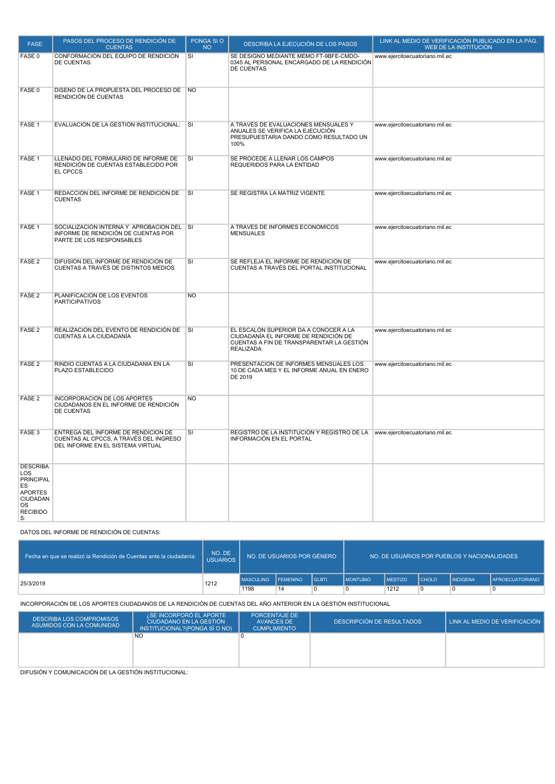| FASE:                                                                                                                | PASOS DEL PROCESO DE RENDICIÓN DE<br><b>CUENTAS</b>                                                                | PONGA SIO<br><b>NO</b>      | DESCRIBA LA EJECUCIÓN DE LOS PASOS                                                                                                              | LINK AL MEDIO DE VERIFICACIÓN PUBLICADO EN LA PÁG.<br>WEB DE LA INSTITUCIÓN |
|----------------------------------------------------------------------------------------------------------------------|--------------------------------------------------------------------------------------------------------------------|-----------------------------|-------------------------------------------------------------------------------------------------------------------------------------------------|-----------------------------------------------------------------------------|
| FASE 0                                                                                                               | CONFORMACIÓN DEL EQUIPO DE RENDICIÓN<br>DE CUENTAS:                                                                | SI                          | SE DESIGNO MEDIANTE MEMO FT-9BFE-CMDO-<br>0345 AL PERSONAL ENCARGADO DE LA RENDICIÓN<br>DE CUENTAS                                              | www.ejercitoecuatoriano.mil.ec                                              |
| FASE 0                                                                                                               | DISEÑO DE LA PROPUESTA DEL PROCESO DE NO<br>RENDICIÓN DE CUENTAS                                                   |                             |                                                                                                                                                 |                                                                             |
| FASE 1                                                                                                               | EVALUACIÓN DE LA GESTIÓN INSTITUCIONAL: SI                                                                         |                             | A TRAVÉS DE EVALUACIONES MENSUALES Y<br>ANUALES SE VERIFICA LA EJECUCIÓN<br>PRESUPUESTARIA DANDO COMO RESULTADO UN<br>100%                      | www.ejercitoecuatoriano.mil.ec                                              |
| FASE 1                                                                                                               | LLENADO DEL FORMULARIO DE INFORME DE<br>RENDICIÓN DE CUENTAS ESTABLECIDO POR<br>EL CPCCS                           | SI                          | SE PROCEDE A LLENAR LOS CAMPOS<br>REQUERIDOS PARA LA ENTIDAD                                                                                    | www.ejercitoecuatoriano.mil.ec                                              |
| FASE 1                                                                                                               | REDACCIÓN DEL INFORME DE RENDICIÓN DE<br><b>CUENTAS</b>                                                            | $\overline{\mathsf{s}}$     | SE REGISTRA LA MATRIZ VIGENTE                                                                                                                   | www.ejercitoecuatoriano.mil.ec                                              |
| FASE 1                                                                                                               | SOCIALIZACIÓN INTERNA Y APROBACIÓN DEL SI<br>INFORME DE RENDICIÓN DE CUENTAS POR<br>PARTE DE LOS RESPONSABLES      |                             | A TRAVÉS DE INFORMES ECONÓMICOS<br><b>MENSUALES</b>                                                                                             | www.ejercitoecuatoriano.mil.ec                                              |
| FASE <sub>2</sub>                                                                                                    | DIFUSIÓN DEL INFORME DE RENDICIÓN DE<br>CUENTAS A TRAVÉS DE DISTINTOS MEDIOS                                       | SI                          | SE REFLEJA EL INFORME DE RENDICIÓN DE<br>CUENTAS A TRAVÉS DEL PORTAL INSTITUCIONAL                                                              | www.ejercitoecuatoriano.mil.ec                                              |
| FASE <sub>2</sub>                                                                                                    | PLANIFICACIÓN DE LOS EVENTOS<br><b>PARTICIPATIVOS</b>                                                              | <b>NO</b>                   |                                                                                                                                                 |                                                                             |
| FASE <sub>2</sub>                                                                                                    | REALIZACIÓN DEL EVENTO DE RENDICIÓN DE<br>CUENTAS A LA CIUDADANÍA                                                  | $\overline{\phantom{a}}$ si | EL ESCALÓN SUPERIOR DA A CONOCER A LA<br>CIUDADANÍA EL INFORME DE RENDICIÓN DE<br>CUENTAS A FIN DE TRANSPARENTAR LA GESTIÓN<br><b>REALIZADA</b> | www.ejercitoecuatoriano.mil.ec                                              |
| FASE <sub>2</sub>                                                                                                    | RINDIÓ CUENTAS A LA CIUDADANÍA EN LA<br>PLAZO ESTABLECIDO                                                          | SI                          | PRESENTACIÓN DE INFORMES MENSUALES LOS<br>10 DE CADA MES Y EL INFORME ANUAL EN ENERO<br>DE 2019                                                 | www.ejercitoecuatoriano.mil.ec                                              |
| FASE <sub>2</sub>                                                                                                    | <b>INCORPORACIÓN DE LOS APORTES</b><br>CIUDADANOS EN EL INFORME DE RENDICIÓN<br>DE CUENTAS                         | <b>NO</b>                   |                                                                                                                                                 |                                                                             |
| FASE 3                                                                                                               | ENTREGA DEL INFORME DE RENDICIÓN DE<br>CUENTAS AL CPCCS, A TRAVÉS DEL INGRESO<br>DEL INFORME EN EL SISTEMA VIRTUAL | SI                          | REGISTRO DE LA INSTITUCIÓN Y REGISTRO DE LA www.ejercitoecuatoriano.mil.ec<br>INFORMACIÓN EN EL PORTAL                                          |                                                                             |
| <b>DESCRIBA</b><br>LOS<br><b>PRINCIPAL</b><br>ES<br><b>APORTES</b><br>CIUDADAN<br><b>OS</b><br><b>RECIBIDO</b><br>S: |                                                                                                                    |                             |                                                                                                                                                 |                                                                             |

#### DATOS DEL INFORME DE RENDICIÓN DE CUENTAS:

| Fecha en que se realizó la Rendición de Cuentas ante la ciudadanía: | NO. DE<br><b>USUARIOS</b> |                  | NO. DE USUARIOS POR GÉNERO |         |                   | NO. DE USUARIOS POR PUEBLOS Y NACIONALIDADES |              |                 |                        |  |
|---------------------------------------------------------------------|---------------------------|------------------|----------------------------|---------|-------------------|----------------------------------------------|--------------|-----------------|------------------------|--|
| 25/3/2019                                                           | 1212                      | <b>MASCULINO</b> | <b>FEMENINO</b>            | l GLBTI | <b>I MONTUBIO</b> | <b>MESTIZO</b>                               | <b>CHOLO</b> | <b>INDIGENA</b> | <b>AFROECUATORIANO</b> |  |
|                                                                     |                           | 1198             | 14                         | 0       |                   | 1212                                         |              |                 |                        |  |

INCORPORACIÓN DE LOS APORTES CIUDADANOS DE LA RENDICIÓN DE CUENTAS DEL AÑO ANTERIOR EN LA GESTIÓN INSTITUCIONAL

| <b>DESCRIBA LOS COMPROMISOS</b><br>ASUMIDOS CON LA COMUNIDAD | <b>SE INCORPORO EL APORTE</b><br>CIUDADANO EN LA GESTIÓN<br>INSTITUCIONAL?(PONGA SÍ O NO) | <b>PORCENTAJE DE</b><br>AVANCES DE<br><b>CUMPLIMIENTO</b> | DESCRIPCIÓN DE RESULTADOS | LINK AL MEDIO DE VERIFICACIÓN |
|--------------------------------------------------------------|-------------------------------------------------------------------------------------------|-----------------------------------------------------------|---------------------------|-------------------------------|
|                                                              | <b>NO</b>                                                                                 |                                                           |                           |                               |
|                                                              |                                                                                           |                                                           |                           |                               |
|                                                              |                                                                                           |                                                           |                           |                               |
|                                                              |                                                                                           |                                                           |                           |                               |

DIFUSIÓN Y COMUNICACIÓN DE LA GESTIÓN INSTITUCIONAL: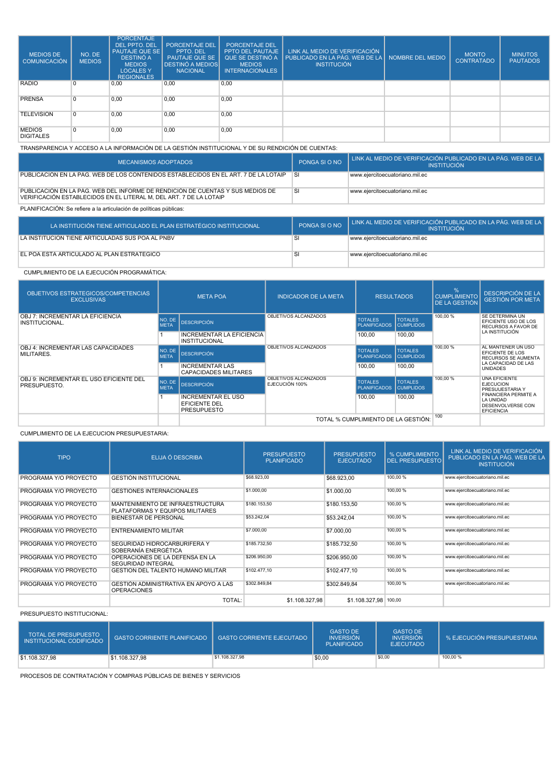| <b>MEDIOS DE</b><br><b>COMUNICACIÓN</b> | NO. DE<br><b>MEDIOS</b> | <b>PORCENTAJE</b><br><b>DEL PPTO, DEL</b><br><b>PAUTAJE QUE SE</b><br><b>DESTINÓ A</b><br><b>MEDIOS</b><br><b>LOCALES Y</b><br><b>REGIONALES</b> | <b>PORCENTAJE DEL</b><br>PPTO, DEL<br><b>PAUTAJE QUE SE</b><br><b>IDESTINÓ A MEDIOSI</b><br><b>NACIONAL</b> | PORCENTAJE DEL<br>PPTO DEL PAUTAJE<br><b>MEDIOS</b><br><b>INTERNACIONALES</b> | LINK AL MEDIO DE VERIFICACIÓN<br>QUE SE DESTINÓ A PUBLICADO EN LA PÁG. WEB DE LA POMBRE DEL MEDIO<br><b>INSTITUCIÓN</b> | <b>MONTO</b><br><b>CONTRATADO</b> | <b>MINUTOS</b><br><b>PAUTADOS</b> |
|-----------------------------------------|-------------------------|--------------------------------------------------------------------------------------------------------------------------------------------------|-------------------------------------------------------------------------------------------------------------|-------------------------------------------------------------------------------|-------------------------------------------------------------------------------------------------------------------------|-----------------------------------|-----------------------------------|
| <b>RADIO</b>                            | $\Omega$                | 0,00                                                                                                                                             | 0,00                                                                                                        | 0,00                                                                          |                                                                                                                         |                                   |                                   |
| <b>PRENSA</b>                           |                         | 0,00                                                                                                                                             | 0,00                                                                                                        | 0,00                                                                          |                                                                                                                         |                                   |                                   |
| <b>TELEVISIÓN</b>                       |                         | 0,00                                                                                                                                             | 0,00                                                                                                        | 0,00                                                                          |                                                                                                                         |                                   |                                   |
| <b>MEDIOS</b><br><b>DIGITALES</b>       | $\Omega$                | 0,00                                                                                                                                             | 0,00                                                                                                        | 0,00                                                                          |                                                                                                                         |                                   |                                   |

TRANSPARENCIA Y ACCESO A LA INFORMACIÓN DE LA GESTIÓN INSTITUCIONAL Y DE SU RENDICIÓN DE CUENTAS:

| MECANISMOS ADOPTADOS                                                                                                                                 | PONGA SI O NO | LINK AL MEDIO DE VERIFICACIÓN PUBLICADO EN LA PÁG. WEB DE LA L<br><b>INSTITUCIÓN</b> |
|------------------------------------------------------------------------------------------------------------------------------------------------------|---------------|--------------------------------------------------------------------------------------|
| PUBLICACIÓN EN LA PÁG. WEB DE LOS CONTENIDOS ESTABLECIDOS EN EL ART. 7 DE LA LOTAIP                                                                  | <b>SI</b>     | www.eiercitoecuatoriano.mil.ec                                                       |
| PUBLICACIÓN EN LA PÁG. WEB DEL INFORME DE RENDICIÓN DE CUENTAS Y SUS MEDIOS DE<br>VERIFICACIÓN ESTABLECIDOS EN EL LITERAL M. DEL ART. 7 DE LA LOTAIP | SI            | www.eiercitoecuatoriano.mil.ec                                                       |
|                                                                                                                                                      |               |                                                                                      |

PLANIFICACIÓN: Se refiere a la articulación de políticas públicas:

| LA INSTITUCIÓN TIENE ARTICULADO EL PLAN ESTRATÉGICO INSTITUCIONAL . | PONGA SI O NO | LINK AL MEDIO DE VERIFICACIÓN PUBLICADO EN LA PÁG. WEB DE LA I<br><b>INSTITUCIÓN</b> |
|---------------------------------------------------------------------|---------------|--------------------------------------------------------------------------------------|
| LA INSTITUCIÓN TIENE ARTICULADAS SUS POA AL PNBV                    |               | www.eiercitoecuatoriano.mil.ec                                                       |
| EL POA ESTÁ ARTICULADO AL PLAN ESTRATÉGICO                          |               | www.eiercitoecuatoriano.mil.ec                                                       |

## CUMPLIMIENTO DE LA EJECUCIÓN PROGRAMÁTICA:

| OBJETIVOS ESTRATEGICOS/COMPETENCIAS<br><b>EXCLUSIVAS</b>                                                                                                                          | <b>META POA</b>       |                                                        | <b>INDICADOR DE LA META</b>           | <b>RESULTADOS</b>                     |                                    | %<br><b>CUMPLIMIENTO</b><br><b>DE LA GESTIÓN</b>            | <b>DESCRIPCIÓN DE LA</b><br><b>GESTIÓN POR META</b>                                |
|-----------------------------------------------------------------------------------------------------------------------------------------------------------------------------------|-----------------------|--------------------------------------------------------|---------------------------------------|---------------------------------------|------------------------------------|-------------------------------------------------------------|------------------------------------------------------------------------------------|
| OBJ 7: INCREMENTAR LA EFICIENCIA<br>INSTITUCIONAL.                                                                                                                                | NO. DE<br><b>META</b> | <b>DESCRIPCIÓN</b>                                     | OBJETIVOS ALCANZADOS                  | <b>TOTALES</b><br><b>PLANIFICADOS</b> | <b>TOTALES</b><br><b>CUMPLIDOS</b> | 100,00%                                                     | SE DETERMINA UN<br>EFICIENTE USO DE LOS<br>RECURSOS A FAVOR DE                     |
|                                                                                                                                                                                   |                       | INCREMENTAR LA EFICIENCIA<br><b>INSTITUCIONAL</b>      |                                       | 100.00                                | 100,00                             |                                                             | LA INSTITUCIÓN                                                                     |
| <b>OBJ 4: INCREMENTAR LAS CAPACIDADES</b><br>MILITARES.                                                                                                                           |                       | <b>DESCRIPCIÓN</b>                                     | OBJETIVOS ALCANZADOS                  | <b>TOTALES</b><br><b>PLANIFICADOS</b> | <b>TOTALES</b><br><b>CUMPLIDOS</b> | 100,00 %                                                    | AL MANTENER UN USO<br>EFICIENTE DE LOS<br><b>RECURSOS SE AUMENTA</b>               |
|                                                                                                                                                                                   |                       | <b>INCREMENTAR LAS</b><br><b>CAPACIDADES MILITARES</b> |                                       | 100.00                                | 100,00                             |                                                             | LA CAPACIDAD DE LAS<br><b>UNIDADES</b>                                             |
| OBJ 9: INCREMENTAR EL USO EFICIENTE DEL<br>NO. DE<br><b>DESCRIPCIÓN</b><br>PRESUPUESTO.<br><b>META</b><br><b>INCREMENTAR EL USO</b><br><b>EFICIENTE DEL</b><br><b>PRESUPUESTO</b> |                       | OBJETIVOS ALCANZADOS<br>EJECUCIÓN 100%                 | <b>TOTALES</b><br><b>PLANIFICADOS</b> | <b>TOTALES</b><br><b>CUMPLIDOS</b>    | 100,00%                            | <b>UNA FFICIENTE</b><br><b>EJECUCION</b><br>PRESUUESTARIA Y |                                                                                    |
|                                                                                                                                                                                   |                       |                                                        |                                       | 100.00                                | 100.00                             |                                                             | <b>FINANCIERA PERMITE A</b><br>LA UNIDAD<br>DESENVOLVERSE CON<br><b>EFICIENCIA</b> |
|                                                                                                                                                                                   |                       |                                                        | TOTAL % CUMPLIMIENTO DE LA GESTIÓN:   |                                       | 100                                |                                                             |                                                                                    |

#### CUMPLIMIENTO DE LA EJECUCION PRESUPUESTARIA:

| <b>TIPO</b>           | ELIJA Ó DESCRIBA                                                    | <b>PRESUPUESTO</b><br><b>PLANIFICADO</b> | <b>PRESUPUESTO</b><br><b>EJECUTADO</b> | % CUMPLIMIENTO<br><b>DEL PRESUPUESTO</b> | LINK AL MEDIO DE VERIFICACIÓN<br>PUBLICADO EN LA PÁG. WEB DE LA<br><b>INSTITUCIÓN</b> |
|-----------------------|---------------------------------------------------------------------|------------------------------------------|----------------------------------------|------------------------------------------|---------------------------------------------------------------------------------------|
| PROGRAMA Y/O PROYECTO | <b>GESTIÓN INSTITUCIONAL</b>                                        | \$68,923.00                              | \$68,923,00                            | 100,00 %                                 | www.ejercitoecuatoriano.mil.ec                                                        |
| PROGRAMA Y/O PROYECTO | <b>GESTIONES INTERNACIONALES</b>                                    | \$1,000.00                               | \$1.000,00                             | 100.00 %                                 | www.ejercitoecuatoriano.mil.ec                                                        |
| PROGRAMA Y/O PROYECTO | MANTENIMIENTO DE INFRAESTRUCTURA<br>PLATAFORMAS Y EQUIPOS MILITARES | \$180,153.50                             | \$180.153,50                           | 100,00 %                                 | www.ejercitoecuatoriano.mil.ec                                                        |
| PROGRAMA Y/O PROYECTO | <b>BIENESTAR DE PERSONAL</b>                                        | \$53,242.04                              | \$53,242.04                            | 100,00 %                                 | www.ejercitoecuatoriano.mil.ec                                                        |
| PROGRAMA Y/O PROYECTO | <b>ENTRENAMIENTO MILITAR</b>                                        | \$7.000,00                               | \$7.000,00                             | 100.00 %                                 | www.ejercitoecuatoriano.mil.ec                                                        |
| PROGRAMA Y/O PROYECTO | SEGURIDAD HIDROCARBURÍFERA Y<br>SOBERANÍA ENERGÉTICA                | \$185,732.50                             | \$185,732.50                           | 100,00 %                                 | www.ejercitoecuatoriano.mil.ec                                                        |
| PROGRAMA Y/O PROYECTO | OPERACIONES DE LA DEFENSA EN LA<br><b>SEGURIDAD INTEGRAL</b>        | \$206.950.00                             | \$206,950.00                           | 100.00 %                                 | www.ejercitoecuatoriano.mil.ec                                                        |
| PROGRAMA Y/O PROYECTO | <b>GESTIÓN DEL TALENTO HUMANO MILITAR</b>                           | \$102,477.10                             | \$102,477.10                           | 100,00 %                                 | www.ejercitoecuatoriano.mil.ec                                                        |
| PROGRAMA Y/O PROYECTO | GESTIÓN ADMINISTRATIVA EN APOYO A LAS<br><b>OPERACIONES</b>         | \$302.849.84                             | \$302.849.84                           | 100,00 %                                 | www.ejercitoecuatoriano.mil.ec                                                        |
|                       | TOTAL:                                                              | \$1.108.327,98                           | \$1.108.327.98 100,00                  |                                          |                                                                                       |

#### PRESUPUESTO INSTITUCIONAL:

| <b>TOTAL DE PRESUPUESTO</b><br>INSTITUCIONAL CODIFICADO | GASTO CORRIENTE PLANIFICADO   GASTO CORRIENTE EJECUTADO |                | <b>GASTO DE</b><br><b>INVERSIÓN</b><br><b>PLANIFICADO</b> | <b>GASTO DE</b><br><b>INVERSIÓN</b><br><b>EJECUTADO</b> | % EJECUCIÓN PRESUPUESTARIA |
|---------------------------------------------------------|---------------------------------------------------------|----------------|-----------------------------------------------------------|---------------------------------------------------------|----------------------------|
| \$1,108,327.98                                          | \$1,108,327.98                                          | \$1,108,327.98 | \$0,00                                                    | \$0,00                                                  | 100,00 %                   |

PROCESOS DE CONTRATACIÓN Y COMPRAS PÚBLICAS DE BIENES Y SERVICIOS